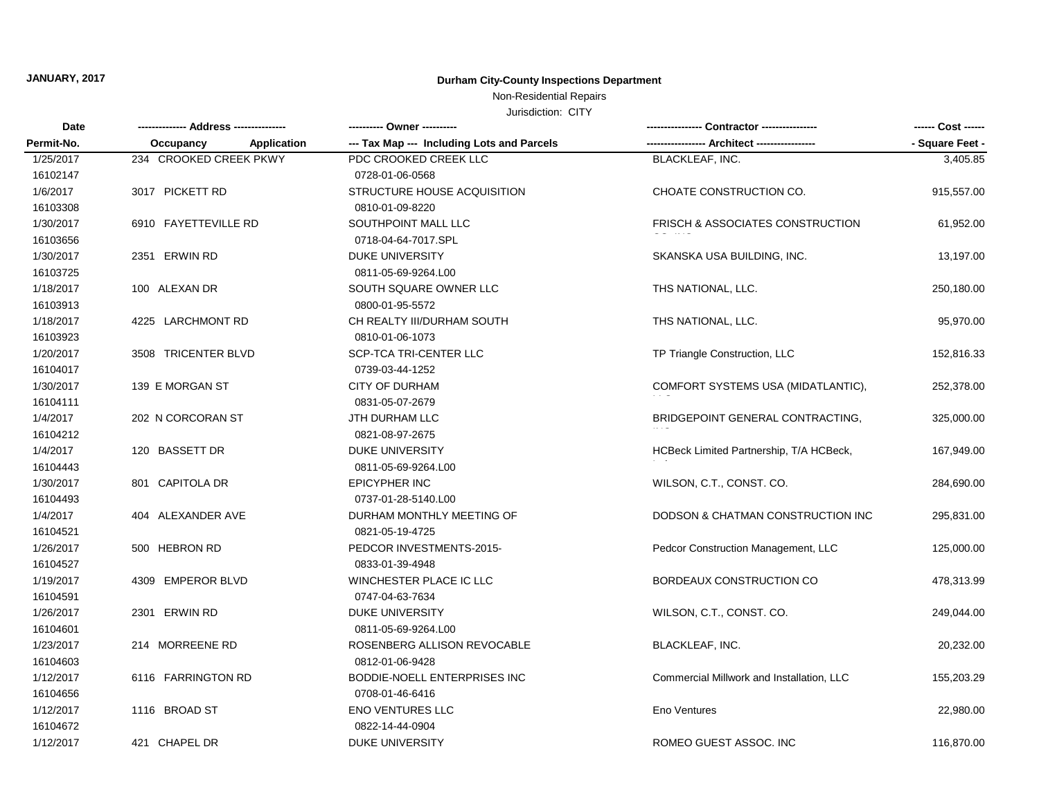# **JANUARY, 2017 Durham City-County Inspections Department**

## Non-Residential Repairs

Jurisdiction: CITY

| Date<br>Permit-No. |                                 | ---------- Owner ----------                |                                           | ------ Cost ------ |
|--------------------|---------------------------------|--------------------------------------------|-------------------------------------------|--------------------|
|                    | <b>Application</b><br>Occupancy | --- Tax Map --- Including Lots and Parcels |                                           | - Square Feet -    |
| 1/25/2017          | 234 CROOKED CREEK PKWY          | PDC CROOKED CREEK LLC                      | <b>BLACKLEAF, INC.</b>                    | 3,405.85           |
| 16102147           |                                 | 0728-01-06-0568                            |                                           |                    |
| 1/6/2017           | 3017 PICKETT RD                 | STRUCTURE HOUSE ACQUISITION                | CHOATE CONSTRUCTION CO.                   | 915,557.00         |
| 16103308           |                                 | 0810-01-09-8220                            |                                           |                    |
| 1/30/2017          | 6910 FAYETTEVILLE RD            | SOUTHPOINT MALL LLC                        | FRISCH & ASSOCIATES CONSTRUCTION          | 61,952.00          |
| 16103656           |                                 | 0718-04-64-7017.SPL                        |                                           |                    |
| 1/30/2017          | 2351 ERWIN RD                   | <b>DUKE UNIVERSITY</b>                     | SKANSKA USA BUILDING, INC.                | 13,197.00          |
| 16103725           |                                 | 0811-05-69-9264.L00                        |                                           |                    |
| 1/18/2017          | 100 ALEXAN DR                   | SOUTH SQUARE OWNER LLC                     | THS NATIONAL, LLC.                        | 250,180.00         |
| 16103913           |                                 | 0800-01-95-5572                            |                                           |                    |
| 1/18/2017          | 4225 LARCHMONT RD               | CH REALTY III/DURHAM SOUTH                 | THS NATIONAL, LLC.                        | 95,970.00          |
| 16103923           |                                 | 0810-01-06-1073                            |                                           |                    |
| 1/20/2017          | 3508 TRICENTER BLVD             | SCP-TCA TRI-CENTER LLC                     | TP Triangle Construction, LLC             | 152,816.33         |
| 16104017           |                                 | 0739-03-44-1252                            |                                           |                    |
| 1/30/2017          | 139 E MORGAN ST                 | <b>CITY OF DURHAM</b>                      | COMFORT SYSTEMS USA (MIDATLANTIC),        | 252,378.00         |
| 16104111           |                                 | 0831-05-07-2679                            |                                           |                    |
| 1/4/2017           | 202 N CORCORAN ST               | JTH DURHAM LLC                             | BRIDGEPOINT GENERAL CONTRACTING.          | 325,000.00         |
| 16104212           |                                 | 0821-08-97-2675                            |                                           |                    |
| 1/4/2017           | 120 BASSETT DR                  | <b>DUKE UNIVERSITY</b>                     | HCBeck Limited Partnership, T/A HCBeck,   | 167,949.00         |
| 16104443           |                                 | 0811-05-69-9264.L00                        |                                           |                    |
| 1/30/2017          | 801 CAPITOLA DR                 | <b>EPICYPHER INC</b>                       | WILSON, C.T., CONST. CO.                  | 284,690.00         |
| 16104493           |                                 | 0737-01-28-5140.L00                        |                                           |                    |
| 1/4/2017           | 404 ALEXANDER AVE               | DURHAM MONTHLY MEETING OF                  | DODSON & CHATMAN CONSTRUCTION INC         | 295,831.00         |
| 16104521           |                                 | 0821-05-19-4725                            |                                           |                    |
| 1/26/2017          | 500 HEBRON RD                   | PEDCOR INVESTMENTS-2015-                   | Pedcor Construction Management, LLC       | 125,000.00         |
| 16104527           |                                 | 0833-01-39-4948                            |                                           |                    |
| 1/19/2017          | 4309 EMPEROR BLVD               | WINCHESTER PLACE IC LLC                    | BORDEAUX CONSTRUCTION CO                  | 478,313.99         |
| 16104591           |                                 | 0747-04-63-7634                            |                                           |                    |
| 1/26/2017          | 2301 ERWIN RD                   | <b>DUKE UNIVERSITY</b>                     | WILSON, C.T., CONST. CO.                  | 249,044.00         |
| 16104601           |                                 | 0811-05-69-9264.L00                        |                                           |                    |
| 1/23/2017          | 214 MORREENE RD                 | ROSENBERG ALLISON REVOCABLE                | <b>BLACKLEAF, INC.</b>                    | 20,232.00          |
| 16104603           |                                 | 0812-01-06-9428                            |                                           |                    |
| 1/12/2017          | 6116 FARRINGTON RD              | BODDIE-NOELL ENTERPRISES INC               | Commercial Millwork and Installation, LLC | 155,203.29         |
| 16104656           |                                 | 0708-01-46-6416                            |                                           |                    |
| 1/12/2017          | 1116 BROAD ST                   | <b>ENO VENTURES LLC</b>                    | Eno Ventures                              | 22,980.00          |
| 16104672           |                                 | 0822-14-44-0904                            |                                           |                    |
| 1/12/2017          | 421 CHAPEL DR                   | DUKE UNIVERSITY                            | ROMEO GUEST ASSOC. INC                    | 116,870.00         |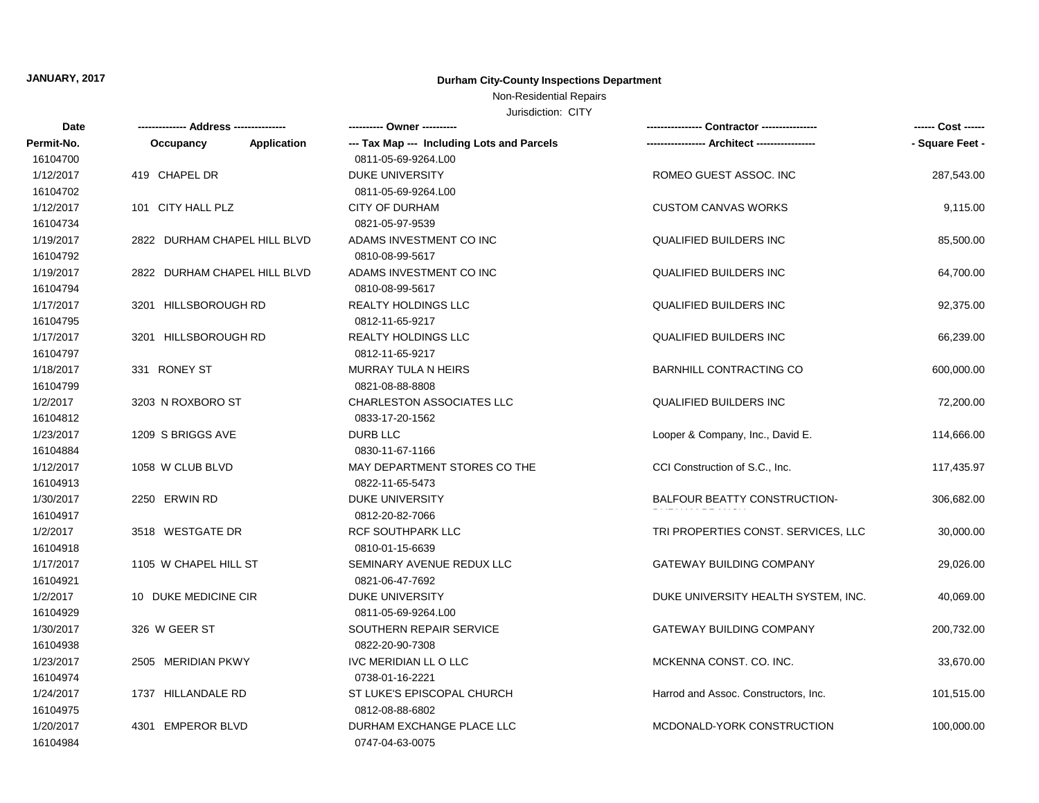# **JANUARY, 2017 Durham City-County Inspections Department**

## Non-Residential Repairs

Jurisdiction: CITY

| Date       | ------ Address --------------- |                    | ---------- Owner ----------                | -- Contractor ----------------       | ------ Cost ------ |
|------------|--------------------------------|--------------------|--------------------------------------------|--------------------------------------|--------------------|
| Permit-No. | Occupancy                      | <b>Application</b> | --- Tax Map --- Including Lots and Parcels |                                      | - Square Feet -    |
| 16104700   |                                |                    | 0811-05-69-9264.L00                        |                                      |                    |
| 1/12/2017  | 419 CHAPEL DR                  |                    | <b>DUKE UNIVERSITY</b>                     | ROMEO GUEST ASSOC. INC               | 287,543.00         |
| 16104702   |                                |                    | 0811-05-69-9264.L00                        |                                      |                    |
| 1/12/2017  | 101 CITY HALL PLZ              |                    | <b>CITY OF DURHAM</b>                      | <b>CUSTOM CANVAS WORKS</b>           | 9,115.00           |
| 16104734   |                                |                    | 0821-05-97-9539                            |                                      |                    |
| 1/19/2017  | 2822 DURHAM CHAPEL HILL BLVD   |                    | ADAMS INVESTMENT CO INC                    | <b>QUALIFIED BUILDERS INC</b>        | 85,500.00          |
| 16104792   |                                |                    | 0810-08-99-5617                            |                                      |                    |
| 1/19/2017  | 2822 DURHAM CHAPEL HILL BLVD   |                    | ADAMS INVESTMENT CO INC                    | <b>QUALIFIED BUILDERS INC</b>        | 64,700.00          |
| 16104794   |                                |                    | 0810-08-99-5617                            |                                      |                    |
| 1/17/2017  | 3201 HILLSBOROUGH RD           |                    | <b>REALTY HOLDINGS LLC</b>                 | QUALIFIED BUILDERS INC               | 92,375.00          |
| 16104795   |                                |                    | 0812-11-65-9217                            |                                      |                    |
| 1/17/2017  | 3201 HILLSBOROUGH RD           |                    | REALTY HOLDINGS LLC                        | QUALIFIED BUILDERS INC               | 66,239.00          |
| 16104797   |                                |                    | 0812-11-65-9217                            |                                      |                    |
| 1/18/2017  | 331 RONEY ST                   |                    | MURRAY TULA N HEIRS                        | <b>BARNHILL CONTRACTING CO</b>       | 600,000.00         |
| 16104799   |                                |                    | 0821-08-88-8808                            |                                      |                    |
| 1/2/2017   | 3203 N ROXBORO ST              |                    | <b>CHARLESTON ASSOCIATES LLC</b>           | <b>QUALIFIED BUILDERS INC</b>        | 72,200.00          |
| 16104812   |                                |                    | 0833-17-20-1562                            |                                      |                    |
| 1/23/2017  | 1209 S BRIGGS AVE              |                    | DURB LLC                                   | Looper & Company, Inc., David E.     | 114,666.00         |
| 16104884   |                                |                    | 0830-11-67-1166                            |                                      |                    |
| 1/12/2017  | 1058 W CLUB BLVD               |                    | MAY DEPARTMENT STORES CO THE               | CCI Construction of S.C., Inc.       | 117,435.97         |
| 16104913   |                                |                    | 0822-11-65-5473                            |                                      |                    |
| 1/30/2017  | 2250 ERWIN RD                  |                    | <b>DUKE UNIVERSITY</b>                     | BALFOUR BEATTY CONSTRUCTION-         | 306,682.00         |
| 16104917   |                                |                    | 0812-20-82-7066                            |                                      |                    |
| 1/2/2017   | 3518 WESTGATE DR               |                    | <b>RCF SOUTHPARK LLC</b>                   | TRI PROPERTIES CONST. SERVICES, LLC  | 30,000.00          |
| 16104918   |                                |                    | 0810-01-15-6639                            |                                      |                    |
| 1/17/2017  | 1105 W CHAPEL HILL ST          |                    | SEMINARY AVENUE REDUX LLC                  | <b>GATEWAY BUILDING COMPANY</b>      | 29,026.00          |
| 16104921   |                                |                    | 0821-06-47-7692                            |                                      |                    |
| 1/2/2017   | 10 DUKE MEDICINE CIR           |                    | <b>DUKE UNIVERSITY</b>                     | DUKE UNIVERSITY HEALTH SYSTEM, INC.  | 40,069.00          |
| 16104929   |                                |                    | 0811-05-69-9264.L00                        |                                      |                    |
| 1/30/2017  | 326 W GEER ST                  |                    | SOUTHERN REPAIR SERVICE                    | <b>GATEWAY BUILDING COMPANY</b>      | 200,732.00         |
| 16104938   |                                |                    | 0822-20-90-7308                            |                                      |                    |
| 1/23/2017  | 2505 MERIDIAN PKWY             |                    | IVC MERIDIAN LL O LLC                      | MCKENNA CONST. CO. INC.              | 33,670.00          |
| 16104974   |                                |                    | 0738-01-16-2221                            |                                      |                    |
| 1/24/2017  | 1737 HILLANDALE RD             |                    | ST LUKE'S EPISCOPAL CHURCH                 | Harrod and Assoc. Constructors, Inc. | 101,515.00         |
| 16104975   |                                |                    | 0812-08-88-6802                            |                                      |                    |
| 1/20/2017  | 4301 EMPEROR BLVD              |                    | DURHAM EXCHANGE PLACE LLC                  | MCDONALD-YORK CONSTRUCTION           | 100,000.00         |
| 16104984   |                                |                    | 0747-04-63-0075                            |                                      |                    |